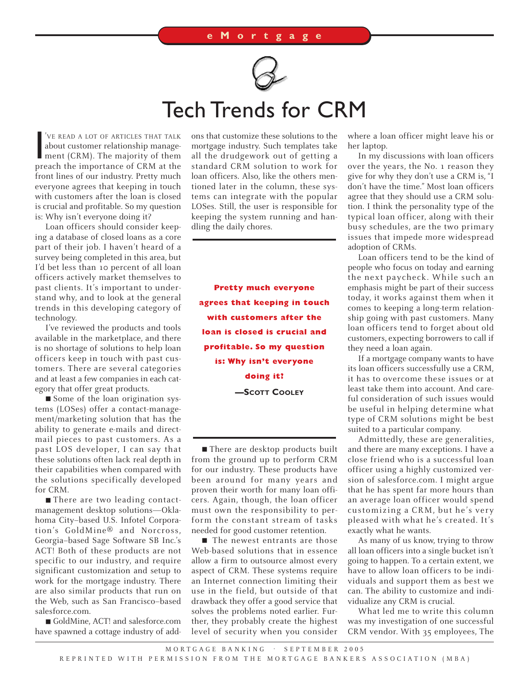

## Tech Trends for CRM

VE READ A LOT OF ARTICLES THAT TALK<br>about customer relationship management (CRM). The majority of them<br>preach the importance of CRM at the 'VE READ A LOT OF ARTICLES THAT TALK about customer relationship management (CRM). The majority of them front lines of our industry. Pretty much everyone agrees that keeping in touch with customers after the loan is closed is crucial and profitable. So my question is: Why isn't everyone doing it?

Loan officers should consider keeping a database of closed loans as a core part of their job. I haven't heard of a survey being completed in this area, but I'd bet less than 10 percent of all loan officers actively market themselves to past clients. It's important to understand why, and to look at the general trends in this developing category of technology.

I've reviewed the products and tools available in the marketplace, and there is no shortage of solutions to help loan officers keep in touch with past customers. There are several categories and at least a few companies in each category that offer great products.

■ Some of the loan origination systems (LOSes) offer a contact-management/marketing solution that has the ability to generate e-mails and directmail pieces to past customers. As a past LOS developer, I can say that these solutions often lack real depth in their capabilities when compared with the solutions specifically developed for CRM.

■ There are two leading contactmanagement desktop solutions—Oklahoma City–based U.S. Infotel Corporation's GoldMine® and Norcross, Georgia–based Sage Software SB Inc.'s ACT! Both of these products are not specific to our industry, and require significant customization and setup to work for the mortgage industry. There are also similar products that run on the Web, such as San Francisco–based salesforce.com.

■ GoldMine, ACT! and salesforce.com have spawned a cottage industry of addons that customize these solutions to the mortgage industry. Such templates take all the drudgework out of getting a standard CRM solution to work for loan officers. Also, like the others mentioned later in the column, these systems can integrate with the popular LOSes. Still, the user is responsible for keeping the system running and handling the daily chores.

**Pretty much everyone agrees that keeping in touch with customers after the loan is closed is crucial and profitable. So my question is: Why isn't everyone doing it? —SCOTT COOLEY**

■ There are desktop products built from the ground up to perform CRM for our industry. These products have been around for many years and proven their worth for many loan officers. Again, though, the loan officer must own the responsibility to perform the constant stream of tasks needed for good customer retention.

■ The newest entrants are those Web-based solutions that in essence allow a firm to outsource almost every aspect of CRM. These systems require an Internet connection limiting their use in the field, but outside of that drawback they offer a good service that solves the problems noted earlier. Further, they probably create the highest level of security when you consider

where a loan officer might leave his or her laptop.

In my discussions with loan officers over the years, the No. 1 reason they give for why they don't use a CRM is, "I don't have the time." Most loan officers agree that they should use a CRM solution. I think the personality type of the typical loan officer, along with their busy schedules, are the two primary issues that impede more widespread adoption of CRMs.

Loan officers tend to be the kind of people who focus on today and earning the next paycheck. While such an emphasis might be part of their success today, it works against them when it comes to keeping a long-term relationship going with past customers. Many loan officers tend to forget about old customers, expecting borrowers to call if they need a loan again.

If a mortgage company wants to have its loan officers successfully use a CRM, it has to overcome these issues or at least take them into account. And careful consideration of such issues would be useful in helping determine what type of CRM solutions might be best suited to a particular company.

Admittedly, these are generalities, and there are many exceptions. I have a close friend who is a successful loan officer using a highly customized version of salesforce.com. I might argue that he has spent far more hours than an average loan officer would spend customizing a CRM, but he's very pleased with what he's created. It's exactly what he wants.

As many of us know, trying to throw all loan officers into a single bucket isn't going to happen. To a certain extent, we have to allow loan officers to be individuals and support them as best we can. The ability to customize and individualize any CRM is crucial.

What led me to write this column was my investigation of one successful CRM vendor. With 35 employees, The